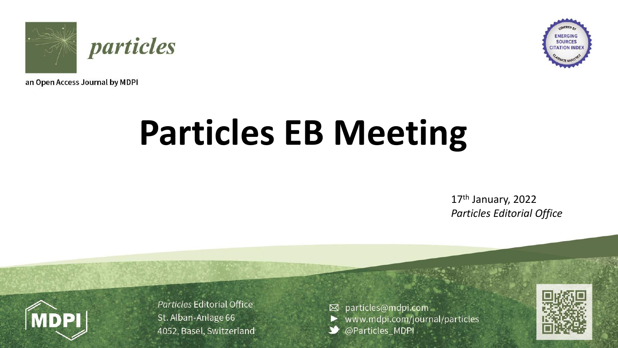



an Open Access Journal by MDPI

# **Particles EB Meeting**

17<sup>th</sup> January, 2022 *Particles Editorial Office*



Particles Editorial Office St. Alban-Anlage 66 4052, Basel, Switzerland

⊠ particles@mdpi.com www.mdpi.com/journal/particles @Particles\_MDPI

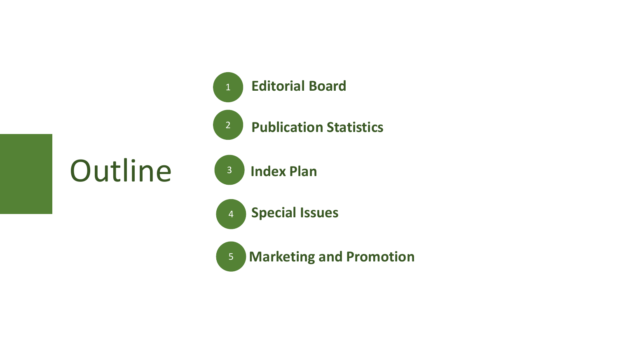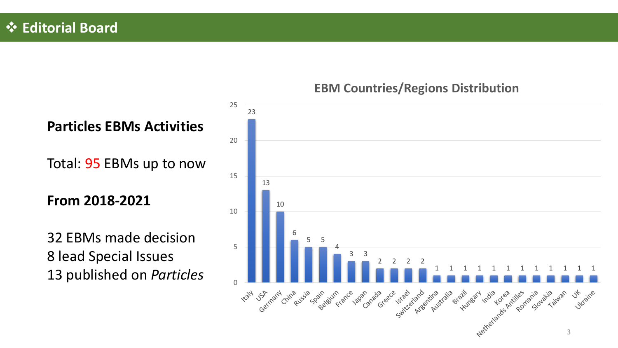## ❖ **Editorial Board**



### **EBM Countries/Regions Distribution**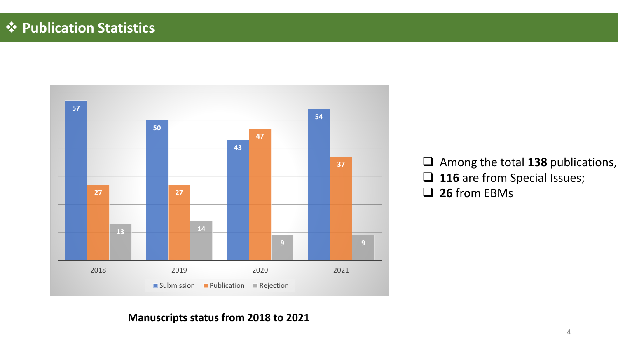## ❖ **Publication Statistics**



❑ Among the total **138** publications, □ 116 are from Special Issues; ❑ **26** from EBMs

#### **Manuscripts status from 2018 to 2021**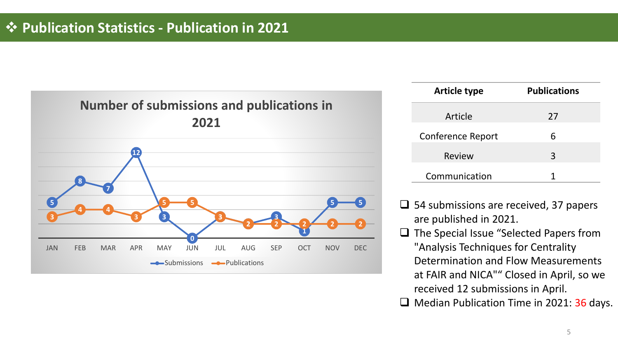

| <b>Article type</b> | <b>Publications</b> |  |  |
|---------------------|---------------------|--|--|
| Article             | 27                  |  |  |
| Conference Report   | 6                   |  |  |
| <b>Review</b>       | 3                   |  |  |
| Communication       |                     |  |  |

- ❑ 54 submissions are received, 37 papers are published in 2021.
- ❑ The Special Issue "Selected Papers from "Analysis Techniques for Centrality Determination and Flow Measurements at FAIR and NICA"" Closed in April, so we received 12 submissions in April. □ Median Publication Time in 2021: 36 days.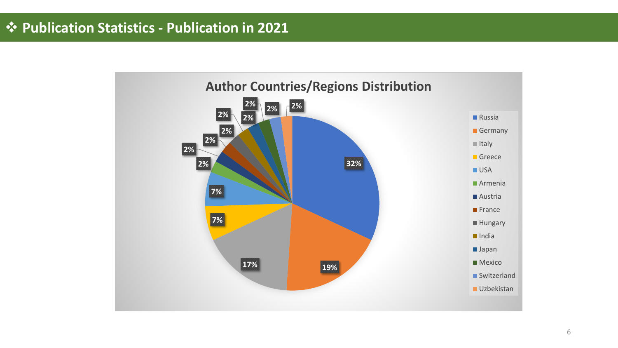## ❖ **Publication Statistics - Publication in 2021**

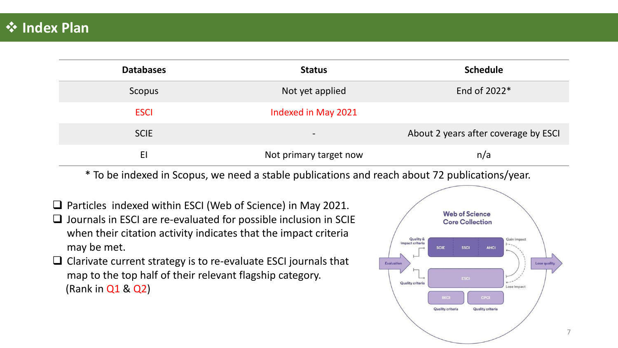| <b>Databases</b> | <b>Status</b>            | <b>Schedule</b>                      |
|------------------|--------------------------|--------------------------------------|
| Scopus           | Not yet applied          | End of 2022*                         |
| <b>ESCI</b>      | Indexed in May 2021      |                                      |
| <b>SCIE</b>      | $\overline{\phantom{a}}$ | About 2 years after coverage by ESCI |
| EI               | Not primary target now   | n/a                                  |

\* To be indexed in Scopus, we need a stable publications and reach about 72 publications/year.

- ❑ Particles indexed within ESCI (Web of Science) in May 2021.
- ❑ Journals in ESCI are re-evaluated for possible inclusion in SCIE when their citation activity indicates that the impact criteria may be met.
- ❑ Clarivate current strategy is to re-evaluate ESCI journals that map to the top half of their relevant flagship category. (Rank in Q1 & Q2)

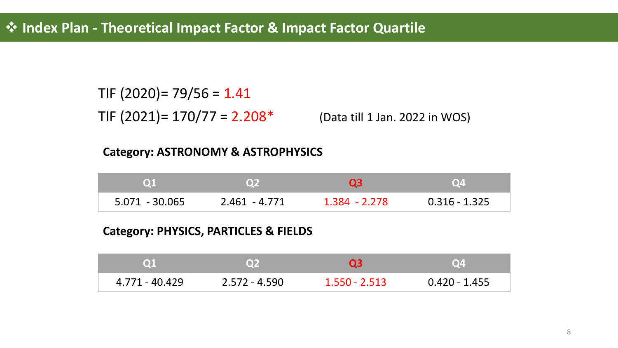TIF  $(2020)$ = 79/56 = 1.41

TIF  $(2021)$ = 170/77 = 2.208<sup>\*</sup> (Data till 1 Jan. 2022 in WOS)

#### **Category: ASTRONOMY & ASTROPHYSICS**

| $\mathbf{Q}$     | O <sub>2</sub>  |               | Q4              |
|------------------|-----------------|---------------|-----------------|
| $5.071 - 30.065$ | $2.461 - 4.771$ | 1.384 - 2.278 | $0.316 - 1.325$ |

#### **Category: PHYSICS, PARTICLES & FIELDS**

| <b>O1</b>      | <b>Q2</b>     | 03              | Q4              |
|----------------|---------------|-----------------|-----------------|
| 4.771 - 40.429 | 2.572 - 4.590 | $1.550 - 2.513$ | $0.420 - 1.455$ |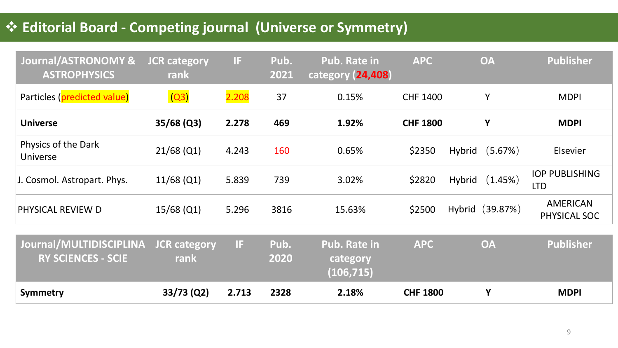## ❖ **Editorial Board - Competing journal (Universe or Symmetry)**

| Journal/ASTRONOMY &<br><b>ASTROPHYSICS</b>           | <b>JCR category</b><br>rank | Æ     | Pub.<br>2021 | <b>Pub. Rate in</b><br>category (24,408)      | <b>APC</b>      | <b>OA</b>                | <b>Publisher</b>                    |
|------------------------------------------------------|-----------------------------|-------|--------------|-----------------------------------------------|-----------------|--------------------------|-------------------------------------|
| Particles (predicted value)                          | (Q3)                        | 2.208 | 37           | 0.15%                                         | <b>CHF 1400</b> | Y                        | <b>MDPI</b>                         |
| <b>Universe</b>                                      | $35/68$ (Q3)                | 2.278 | 469          | 1.92%                                         | <b>CHF 1800</b> | Y                        | <b>MDPI</b>                         |
| Physics of the Dark<br>Universe                      | $21/68$ (Q1)                | 4.243 | 160          | 0.65%                                         | \$2350          | (5.67%)<br>Hybrid        | Elsevier                            |
| J. Cosmol. Astropart. Phys.                          | $11/68$ (Q1)                | 5.839 | 739          | 3.02%                                         | \$2820          | (1.45%)<br><b>Hybrid</b> | <b>IOP PUBLISHING</b><br><b>LTD</b> |
| PHYSICAL REVIEW D                                    | $15/68$ (Q1)                | 5.296 | 3816         | 15.63%                                        | \$2500          | (39.87%)<br>Hybrid       | <b>AMERICAN</b><br>PHYSICAL SOC     |
| Journal/MULTIDISCIPLINA<br><b>RY SCIENCES - SCIE</b> | <b>JCR category</b><br>rank | Œ     | Pub.<br>2020 | <b>Pub. Rate in</b><br>category<br>(106, 715) | <b>APC</b>      | <b>OA</b>                | <b>Publisher</b>                    |
| Symmetry                                             | $33/73$ (Q2)                | 2.713 | 2328         | 2.18%                                         | <b>CHF 1800</b> | Y                        | <b>MDPI</b>                         |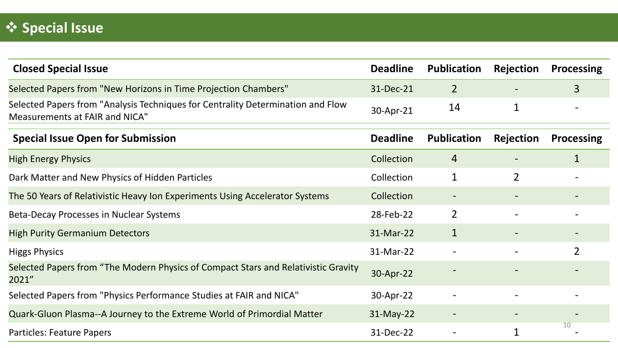| <b>Closed Special Issue</b>                                                                                              | <b>Deadline</b> | <b>Publication</b> | Rejection        | <b>Processing</b> |
|--------------------------------------------------------------------------------------------------------------------------|-----------------|--------------------|------------------|-------------------|
| Selected Papers from "New Horizons in Time Projection Chambers"                                                          | 31-Dec-21       | 2                  |                  | $\mathsf{3}$      |
| Selected Papers from "Analysis Techniques for Centrality Determination and Flow<br><b>Measurements at FAIR and NICA"</b> | 30-Apr-21       | 14                 | 1                |                   |
| <b>Special Issue Open for Submission</b>                                                                                 | <b>Deadline</b> | <b>Publication</b> | <b>Rejection</b> | <b>Processing</b> |
| <b>High Energy Physics</b>                                                                                               | Collection      | 4                  |                  | $\mathbf 1$       |
| Dark Matter and New Physics of Hidden Particles                                                                          | Collection      | $\mathbf 1$        | $\overline{2}$   |                   |
| The 50 Years of Relativistic Heavy Ion Experiments Using Accelerator Systems                                             | Collection      |                    |                  |                   |
| Beta-Decay Processes in Nuclear Systems                                                                                  | 28-Feb-22       | $\overline{2}$     |                  |                   |
| <b>High Purity Germanium Detectors</b>                                                                                   | 31-Mar-22       | $\mathbf{1}$       |                  |                   |
| <b>Higgs Physics</b>                                                                                                     | 31-Mar-22       |                    |                  | $\overline{2}$    |
| Selected Papers from "The Modern Physics of Compact Stars and Relativistic Gravity<br>2021"                              | 30-Apr-22       |                    |                  |                   |
| Selected Papers from "Physics Performance Studies at FAIR and NICA"                                                      | 30-Apr-22       |                    |                  |                   |
| Quark-Gluon Plasma--A Journey to the Extreme World of Primordial Matter                                                  | $31-May-22$     |                    |                  |                   |
| Particles: Feature Papers                                                                                                | 31-Dec-22       |                    |                  | 10                |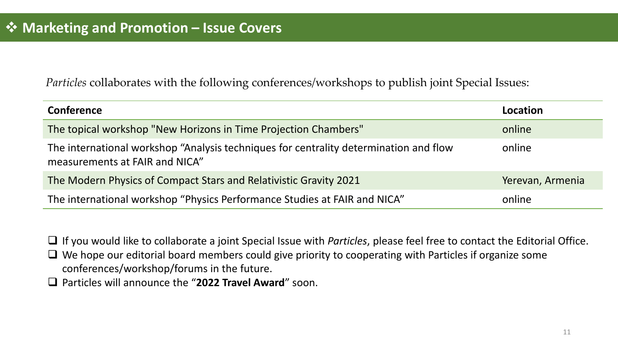*Particles* collaborates with the following conferences/workshops to publish joint Special Issues:

| <b>Conference</b>                                                                                                       | Location         |
|-------------------------------------------------------------------------------------------------------------------------|------------------|
| The topical workshop "New Horizons in Time Projection Chambers"                                                         | online           |
| The international workshop "Analysis techniques for centrality determination and flow<br>measurements at FAIR and NICA" | online           |
| The Modern Physics of Compact Stars and Relativistic Gravity 2021                                                       | Yerevan, Armenia |
| The international workshop "Physics Performance Studies at FAIR and NICA"                                               | online           |

❑ If you would like to collaborate a joint Special Issue with *Particles*, please feel free to contact the Editorial Office.

❑ We hope our editorial board members could give priority to cooperating with Particles if organize some conferences/workshop/forums in the future.

❑ Particles will announce the "**2022 Travel Award**" soon.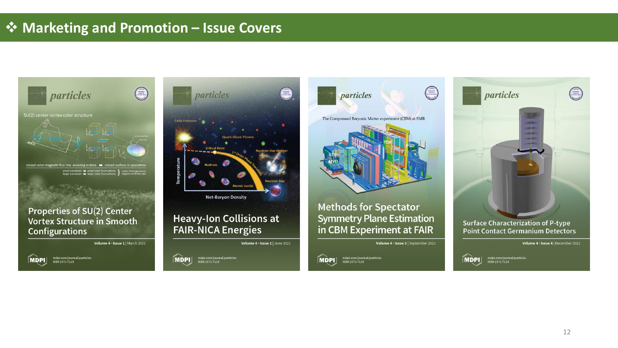